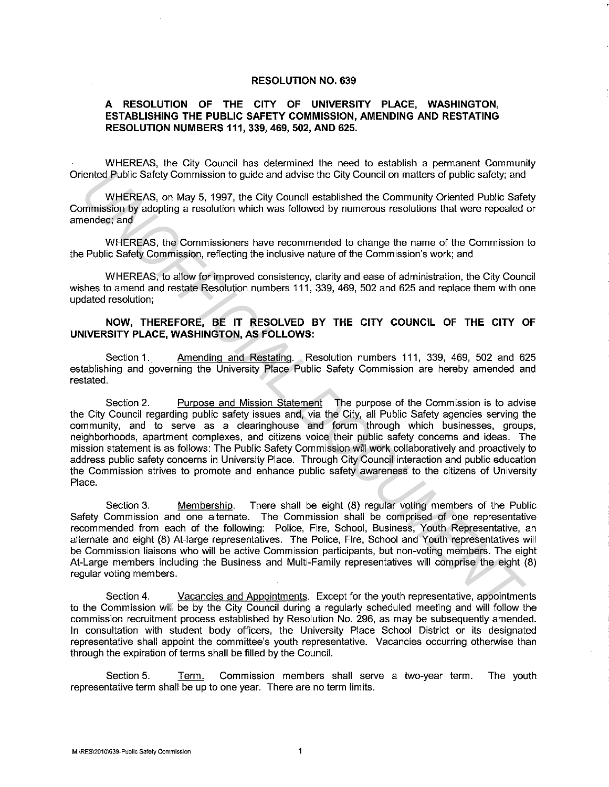## **RESOLUTION NO. 639**

## **A RESOLUTION OF THE CITY OF UNIVERSITY PLACE, WASHINGTON, ESTABLISHING THE PUBLIC SAFETY COMMISSION, AMENDING AND RESTATING RESOLUTION NUMBERS 111, 339, 469, 502, AND 625.**

WHEREAS, the City Council has determined the need to establish a permanent Community Oriented Public Safety Commission to guide and advise the City Council on matters of public safety; and

WHEREAS, on May 5, 1997, the City Council established the Community Oriented Public Safety Commission by adopting a resolution which was followed by numerous resolutions that were repealed or amended; and

WHEREAS, the Commissioners have recommended to change the name of the Commission to the Public Safety Commission, reflecting the inclusive nature of the Commission"s work; and

WHEREAS, to allow for improved consistency, clarity and ease of administration, the City Council wishes to amend and restate Resolution numbers 111, 339, 469, 502 and 625 and replace them with one updated resolution;

## **NOW, THEREFORE, BE IT RESOLVED BY THE CITY COUNCIL OF THE CITY OF UNIVERSITY PLACE, WASHINGTON, AS FOLLOWS:**

Section 1. Amending and Restating. Resolution numbers 111, 339, 469, 502 and 625 establishing and governing the University Place Public Safety Commission are hereby amended and restated.

Section 2. Purpose and Mission Statement The purpose of the Commission is to advise the City Council regarding public safety issues and, via the City, all Public Safety agencies serving the community, and to serve as a clearinghouse and forum through which businesses, groups, neighborhoods, apartment complexes, and citizens voice their public safety concerns and ideas. The mission statement is as follows: The Public Safety Commission will work collaboratively and proactively to address public safety concerns in University Place. Through City Council interaction and public education the Commission strives to promote and enhance public safety awareness to the citizens of University Place. iented Public Safety Commission to guide and advise the City Council on matters of public safety, and<br>
uniferenced from May 5, 1987, the City Council established the Commission<br>
primarison by adopting a resolution which wa

Section 3. Membership. There shall be eight (8) regular voting members of the Public Safety Commission and one alternate. The Commission shall be comprised of one representative recommended from each of the following: Police, Fire, School, Business, Youth Representative, an alternate and eight (8) At-large representatives. The Police, Fire, School and Youth representatives will be Commission liaisons who will be active Commission participants, but non-voting members. The eight At-Large members including the Business and Multi-Family representatives will comprise the eight (8) regular voting members.

Section 4. Vacancies and Appointments. Except for the youth representative, appointments to the Commission will be by the City Council during a regularly scheduled meeting and will follow the commission recruitment process established by Resolution No. 296, as may be subsequently amended. In consultation with student body officers, the University Place School District or its designated representative shall appoint the committee's youth representative. Vacancies occurring otherwise than through the expiration of terms shall be filled by the Council.

Section 5. Term. Commission members shall serve a two-year term. The youth representative term shall be up to one year. There are no term limits.